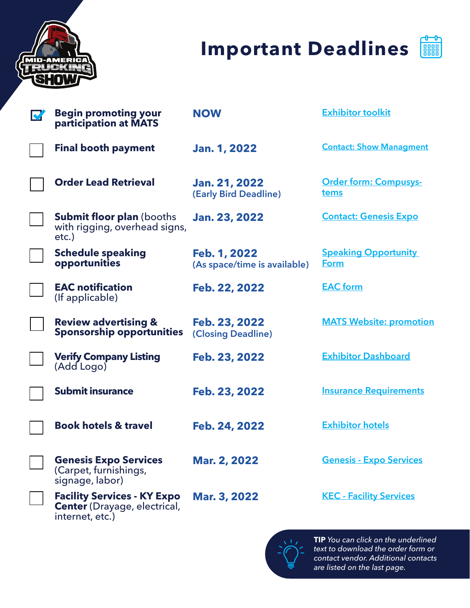

# **Important Deadlines**



| <b>Begin promoting your</b><br>participation at MATS                                         | <b>NOW</b>                                    | <b>Exhibitor toolkit</b>             |
|----------------------------------------------------------------------------------------------|-----------------------------------------------|--------------------------------------|
| <b>Final booth payment</b>                                                                   | <b>Jan. 1, 2022</b>                           | <b>Contact: Show Managment</b>       |
| <b>Order Lead Retrieval</b>                                                                  | <b>Jan. 21, 2022</b><br>(Early Bird Deadline) | <b>Order form: Compusys-</b><br>tems |
| <b>Submit floor plan (booths)</b><br>with rigging, overhead signs,<br>$etc.$ )               | <b>Jan. 23, 2022</b>                          | <b>Contact: Genesis Expo</b>         |
| <b>Schedule speaking</b><br>opportunities                                                    | Feb. 1, 2022<br>(As space/time is available)  | <b>Speaking Opportunity</b><br>Form  |
| <b>EAC notification</b><br>(If applicable)                                                   | Feb. 22, 2022                                 | <b>EAC</b> form                      |
| <b>Review advertising &amp;</b><br><b>Sponsorship opportunities</b>                          | Feb. 23, 2022<br>(Closing Deadline)           | <b>MATS Website: promotion</b>       |
| <b>Verify Company Listing</b><br>(Add Logo)                                                  | Feb. 23, 2022                                 | <b>Exhibitor Dashboard</b>           |
| <b>Submit insurance</b>                                                                      | Feb. 23, 2022                                 | <b>Insurance Requirements</b>        |
| <b>Book hotels &amp; travel</b>                                                              | Feb. 24, 2022                                 | <b>Exhibitor hotels</b>              |
| <b>Genesis Expo Services</b><br>(Carpet, furnishings,<br>signage, labor)                     | <b>Mar. 2, 2022</b>                           | <b>Genesis - Expo Services</b>       |
| <b>Facility Services - KY Expo</b><br><b>Center</b> (Drayage, electrical,<br>internet, etc.) | Mar. 3, 2022                                  | <b>KEC - Facility Services</b>       |



**TIP** *You can click on the underlined text to download the order form or contact vendor. Additional contacts are listed on the last page.*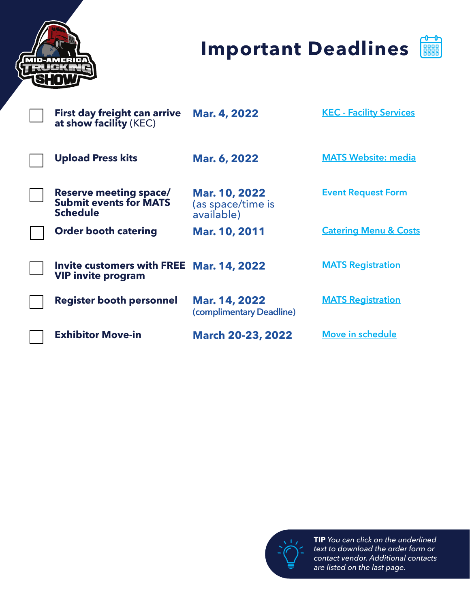

# **Important Deadlines**



| <b>MATS Website: media</b>       |
|----------------------------------|
| <b>Event Request Form</b>        |
| <b>Catering Menu &amp; Costs</b> |
| <b>MATS Registration</b>         |
| <b>MATS Registration</b>         |
| <b>Move in schedule</b>          |
|                                  |



**TIP** *You can click on the underlined text to download the order form or contact vendor. Additional contacts are listed on the last page.*